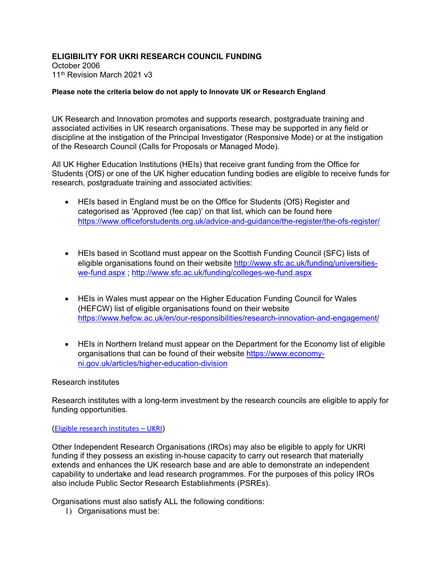# **ELIGIBILITY FOR UKRI RESEARCH COUNCIL FUNDING**

October 2006 11th Revision March 2021 v3

### **Please note the criteria below do not apply to Innovate UK or Research England**

UK Research and Innovation promotes and supports research, postgraduate training and associated activities in UK research organisations. These may be supported in any field or discipline at the instigation of the Principal Investigator (Responsive Mode) or at the instigation of the Research Council (Calls for Proposals or Managed Mode).

All UK Higher Education Institutions (HEIs) that receive grant funding from the Office for Students (OfS) or one of the UK higher education funding bodies are eligible to receive funds for research, postgraduate training and associated activities:

- HEIs based in England must be on the Office for Students (OfS) Register and categorised as 'Approved (fee cap)' on that list, which can be found here <https://www.officeforstudents.org.uk/advice-and-guidance/the-register/the-ofs-register/>
- HEIs based in Scotland must appear on the Scottish Funding Council (SFC) lists of eligible organisations found on their website [http://www.sfc.ac.uk/funding/universities](http://www.sfc.ac.uk/funding/universities-we-fund.aspx)[we-fund.aspx](http://www.sfc.ac.uk/funding/universities-we-fund.aspx) ;<http://www.sfc.ac.uk/funding/colleges-we-fund.aspx>
- HEIs in Wales must appear on the Higher Education Funding Council for Wales (HEFCW) list of eligible organisations found on their website <https://www.hefcw.ac.uk/en/our-responsibilities/research-innovation-and-engagement/>
- HEIs in Northern Ireland must appear on the Department for the Economy list of eligible organisations that can be found of their website [https://www.economy](https://www.economy-ni.gov.uk/articles/higher-education-division)[ni.gov.uk/articles/higher-education-division](https://www.economy-ni.gov.uk/articles/higher-education-division)

#### Research institutes

Research institutes with a long-term investment by the research councils are eligible to apply for funding opportunities.

#### ([Eligible research institutes –](https://www.ukri.org/apply-for-funding/before-you-apply/check-if-you-are-eligible-for-research-and-innovation-funding/eligible-research-institutes/#chapter-list) UKRI)

Other Independent Research Organisations (IROs) may also be eligible to apply for UKRI funding if they possess an existing in-house capacity to carry out research that materially extends and enhances the UK research base and are able to demonstrate an independent capability to undertake and lead research programmes. For the purposes of this policy IROs also include Public Sector Research Establishments (PSREs).

Organisations must also satisfy ALL the following conditions:

1) Organisations must be: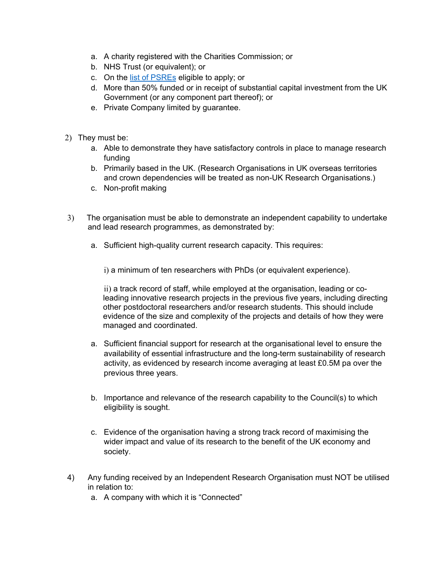- a. A charity registered with the Charities Commission; or
- b. NHS Trust (or equivalent); or
- c. On the [list of PSREs](https://www.ukri.org/apply-for-funding/before-you-apply/check-if-you-are-eligible-for-research-and-innovation-funding/eligible-public-sector-research-establishments/#contents-list) eligible to apply; or
- d. More than 50% funded or in receipt of substantial capital investment from the UK Government (or any component part thereof); or
- e. Private Company limited by guarantee.
- 2) They must be:
	- a. Able to demonstrate they have satisfactory controls in place to manage research funding
	- b. Primarily based in the UK. (Research Organisations in UK overseas territories and crown dependencies will be treated as non-UK Research Organisations.)
	- c. Non-profit making
- 3) The organisation must be able to demonstrate an independent capability to undertake and lead research programmes, as demonstrated by:
	- a. Sufficient high-quality current research capacity. This requires:

i) a minimum of ten researchers with PhDs (or equivalent experience).

ii) a track record of staff, while employed at the organisation, leading or coleading innovative research projects in the previous five years, including directing other postdoctoral researchers and/or research students. This should include evidence of the size and complexity of the projects and details of how they were managed and coordinated.

- a. Sufficient financial support for research at the organisational level to ensure the availability of essential infrastructure and the long-term sustainability of research activity, as evidenced by research income averaging at least £0.5M pa over the previous three years.
- b. Importance and relevance of the research capability to the Council(s) to which eligibility is sought.
- c. Evidence of the organisation having a strong track record of maximising the wider impact and value of its research to the benefit of the UK economy and society.
- 4) Any funding received by an Independent Research Organisation must NOT be utilised in relation to:
	- a. A company with which it is "Connected"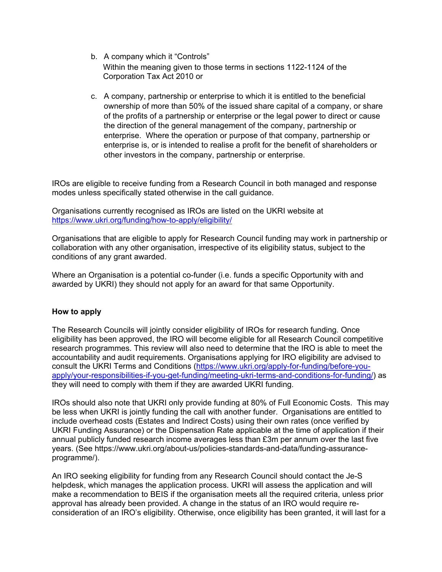- b. A company which it "Controls" Within the meaning given to those terms in sections 1122-1124 of the Corporation Tax Act 2010 or
- c. A company, partnership or enterprise to which it is entitled to the beneficial ownership of more than 50% of the issued share capital of a company, or share of the profits of a partnership or enterprise or the legal power to direct or cause the direction of the general management of the company, partnership or enterprise. Where the operation or purpose of that company, partnership or enterprise is, or is intended to realise a profit for the benefit of shareholders or other investors in the company, partnership or enterprise.

IROs are eligible to receive funding from a Research Council in both managed and response modes unless specifically stated otherwise in the call guidance.

Organisations currently recognised as IROs are listed on the UKRI website at <https://www.ukri.org/funding/how-to-apply/eligibility/>

Organisations that are eligible to apply for Research Council funding may work in partnership or collaboration with any other organisation, irrespective of its eligibility status, subject to the conditions of any grant awarded.

Where an Organisation is a potential co-funder (i.e. funds a specific Opportunity with and awarded by UKRI) they should not apply for an award for that same Opportunity.

## **How to apply**

The Research Councils will jointly consider eligibility of IROs for research funding. Once eligibility has been approved, the IRO will become eligible for all Research Council competitive research programmes. This review will also need to determine that the IRO is able to meet the accountability and audit requirements. Organisations applying for IRO eligibility are advised to consult the UKRI Terms and Conditions [\(https://www.ukri.org/apply-for-funding/before-you](https://www.ukri.org/apply-for-funding/before-you-apply/your-responsibilities-if-you-get-funding/meeting-ukri-terms-and-conditions-for-funding/)[apply/your-responsibilities-if-you-get-funding/meeting-ukri-terms-and-conditions-for-funding/\)](https://www.ukri.org/apply-for-funding/before-you-apply/your-responsibilities-if-you-get-funding/meeting-ukri-terms-and-conditions-for-funding/) as they will need to comply with them if they are awarded UKRI funding.

IROs should also note that UKRI only provide funding at 80% of Full Economic Costs. This may be less when UKRI is jointly funding the call with another funder. Organisations are entitled to include overhead costs (Estates and Indirect Costs) using their own rates (once verified by UKRI Funding Assurance) or the Dispensation Rate applicable at the time of application if their annual publicly funded research income averages less than £3m per annum over the last five years. (See https://www.ukri.org/about-us/policies-standards-and-data/funding-assuranceprogramme/).

An IRO seeking eligibility for funding from any Research Council should contact the Je-S helpdesk, which manages the application process. UKRI will assess the application and will make a recommendation to BEIS if the organisation meets all the required criteria, unless prior approval has already been provided. A change in the status of an IRO would require reconsideration of an IRO's eligibility. Otherwise, once eligibility has been granted, it will last for a